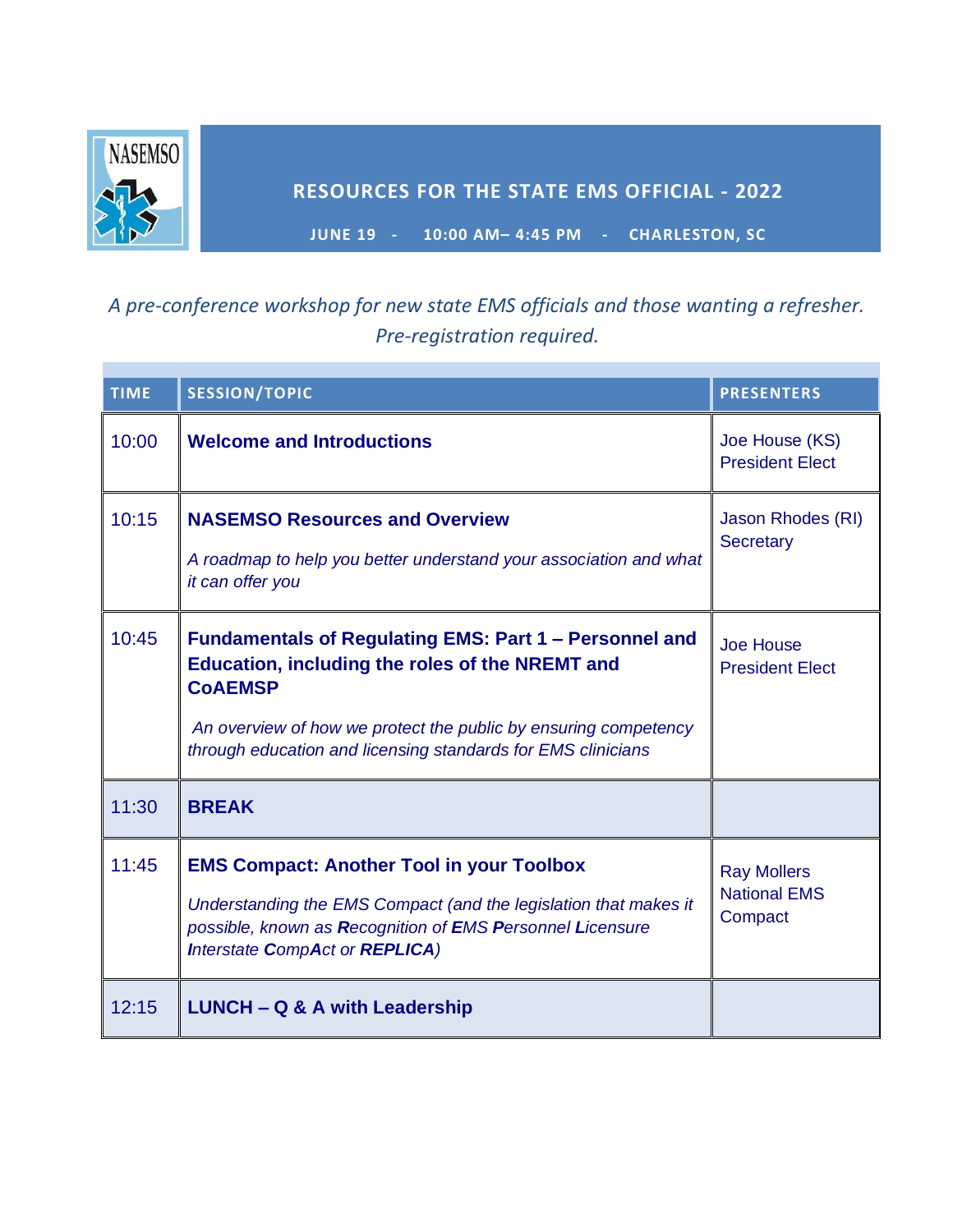

## **RESOURCES FOR THE STATE EMS OFFICIAL - 2022**

**JUNE 19 - 10:00 AM– 4:45 PM - CHARLESTON, SC**

## *A pre-conference workshop for new state EMS officials and those wanting a refresher. Pre-registration required.*

| <b>TIME</b> | <b>SESSION/TOPIC</b>                                                                                                                                                                                                                                                  | <b>PRESENTERS</b>                                    |
|-------------|-----------------------------------------------------------------------------------------------------------------------------------------------------------------------------------------------------------------------------------------------------------------------|------------------------------------------------------|
| 10:00       | <b>Welcome and Introductions</b>                                                                                                                                                                                                                                      | Joe House (KS)<br><b>President Elect</b>             |
| 10:15       | <b>NASEMSO Resources and Overview</b><br>A roadmap to help you better understand your association and what<br>it can offer you                                                                                                                                        | Jason Rhodes (RI)<br><b>Secretary</b>                |
| 10:45       | Fundamentals of Regulating EMS: Part 1 – Personnel and<br><b>Education, including the roles of the NREMT and</b><br><b>COAEMSP</b><br>An overview of how we protect the public by ensuring competency<br>through education and licensing standards for EMS clinicians | <b>Joe House</b><br><b>President Elect</b>           |
| 11:30       | <b>BREAK</b>                                                                                                                                                                                                                                                          |                                                      |
| 11:45       | <b>EMS Compact: Another Tool in your Toolbox</b><br>Understanding the EMS Compact (and the legislation that makes it<br>possible, known as Recognition of EMS Personnel Licensure<br><b>Interstate CompAct or REPLICA)</b>                                            | <b>Ray Mollers</b><br><b>National EMS</b><br>Compact |
| 12:15       | <b>LUNCH - Q &amp; A with Leadership</b>                                                                                                                                                                                                                              |                                                      |